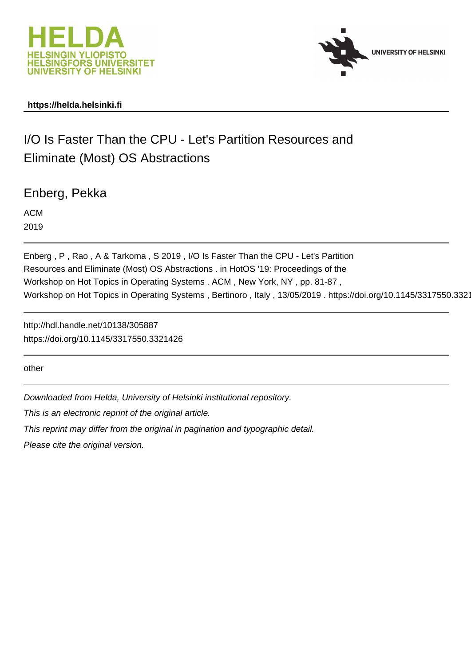



## **https://helda.helsinki.fi**

# I/O Is Faster Than the CPU - Let's Partition Resources and Eliminate (Most) OS Abstractions

Enberg, Pekka

ACM 2019

Enberg , P , Rao , A & Tarkoma , S 2019 , I/O Is Faster Than the CPU - Let's Partition Resources and Eliminate (Most) OS Abstractions . in HotOS '19: Proceedings of the Workshop on Hot Topics in Operating Systems . ACM , New York, NY , pp. 81-87 , Workshop on Hot Topics in Operating Systems, Bertinoro, Italy, 13/05/2019. https://doi.org/10.1145/3317550.3321

http://hdl.handle.net/10138/305887 https://doi.org/10.1145/3317550.3321426

other

Downloaded from Helda, University of Helsinki institutional repository.

This is an electronic reprint of the original article.

This reprint may differ from the original in pagination and typographic detail.

Please cite the original version.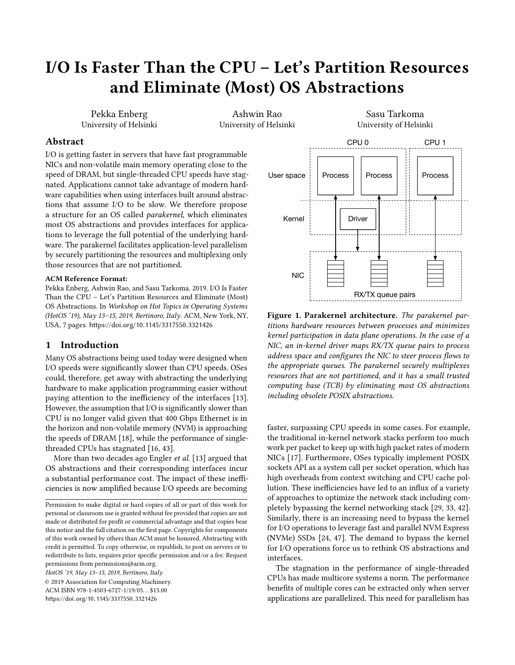# I/O Is Faster Than the CPU – Let's Partition Resources and Eliminate (Most) OS Abstractions

Pekka Enberg University of Helsinki

Ashwin Rao University of Helsinki

Sasu Tarkoma University of Helsinki

#### Abstract

I/O is getting faster in servers that have fast programmable NICs and non-volatile main memory operating close to the speed of DRAM, but single-threaded CPU speeds have stagnated. Applications cannot take advantage of modern hardware capabilities when using interfaces built around abstractions that assume I/O to be slow. We therefore propose a structure for an OS called parakernel, which eliminates most OS abstractions and provides interfaces for applications to leverage the full potential of the underlying hardware. The parakernel facilitates application-level parallelism by securely partitioning the resources and multiplexing only those resources that are not partitioned.

#### ACM Reference Format:

Pekka Enberg, Ashwin Rao, and Sasu Tarkoma. 2019. I/O Is Faster Than the CPU – Let's Partition Resources and Eliminate (Most) OS Abstractions. In Workshop on Hot Topics in Operating Systems (HotOS '19), May 13–15, 2019, Bertinoro, Italy. ACM, New York, NY, USA, 7 pages. https://doi.org/10.[1145/3317550](https://doi.org/10.1145/3317550.3321426).<sup>3321426</sup>

#### 1 Introduction

Many OS abstractions being used today were designed when I/O speeds were significantly slower than CPU speeds. OSes could, therefore, get away with abstracting the underlying hardware to make application programming easier without paying attention to the inefficiency of the interfaces [13]. However, the assumption that I/O is significantly slower than CPU is no longer valid given that 400 Gbps Ethernet is in the horizon and non-volatile memory (NVM) is approaching the speeds of DRAM [18], while the performance of singlethreaded CPUs has stagnated [16, 43].

More than two decades ago Engler et al. [13] argued that OS abstractions and their corresponding interfaces incur a substantial performance cost. The impact of these inefficiencies is now amplified because I/O speeds are becoming

HotOS '19, May 13–15, 2019, Bertinoro, Italy

© 2019 Association for Computing Machinery. ACM ISBN 978-1-4503-6727-1/19/05. . . \$15.00 https://doi.org/10.[1145/3317550](https://doi.org/10.1145/3317550.3321426).<sup>3321426</sup>



Figure 1. Parakernel architecture. The parakernel partitions hardware resources between processes and minimizes kernel participation in data plane operations. In the case of a NIC, an in-kernel driver maps RX/TX queue pairs to process address space and configures the NIC to steer process flows to the appropriate queues. The parakernel securely multiplexes resources that are not partitioned, and it has a small trusted computing base (TCB) by eliminating most OS abstractions including obsolete POSIX abstractions.

faster, surpassing CPU speeds in some cases. For example, the traditional in-kernel network stacks perform too much work per packet to keep up with high packet rates of modern NICs [17]. Furthermore, OSes typically implement POSIX sockets API as a system call per socket operation, which has high overheads from context switching and CPU cache pollution. These inefficiencies have led to an influx of a variety of approaches to optimize the network stack including completely bypassing the kernel networking stack [29, 33, 42]. Similarly, there is an increasing need to bypass the kernel for I/O operations to leverage fast and parallel NVM Express (NVMe) SSDs [24, 47]. The demand to bypass the kernel for I/O operations force us to rethink OS abstractions and interfaces.

The stagnation in the performance of single-threaded CPUs has made multicore systems a norm. The performance benefits of multiple cores can be extracted only when server applications are parallelized. This need for parallelism has

Permission to make digital or hard copies of all or part of this work for personal or classroom use is granted without fee provided that copies are not made or distributed for profit or commercial advantage and that copies bear this notice and the full citation on the first page. Copyrights for components of this work owned by others than ACM must be honored. Abstracting with credit is permitted. To copy otherwise, or republish, to post on servers or to redistribute to lists, requires prior specific permission and/or a fee. Request permissions from permissions@acm.org.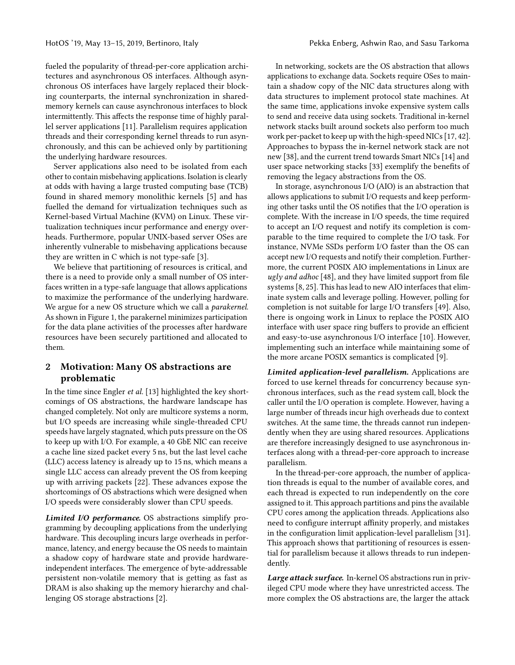fueled the popularity of thread-per-core application architectures and asynchronous OS interfaces. Although asynchronous OS interfaces have largely replaced their blocking counterparts, the internal synchronization in sharedmemory kernels can cause asynchronous interfaces to block intermittently. This affects the response time of highly parallel server applications [11]. Parallelism requires application threads and their corresponding kernel threads to run asynchronously, and this can be achieved only by partitioning the underlying hardware resources.

Server applications also need to be isolated from each other to contain misbehaving applications. Isolation is clearly at odds with having a large trusted computing base (TCB) found in shared memory monolithic kernels [5] and has fuelled the demand for virtualization techniques such as Kernel-based Virtual Machine (KVM) on Linux. These virtualization techniques incur performance and energy overheads. Furthermore, popular UNIX-based server OSes are inherently vulnerable to misbehaving applications because they are written in C which is not type-safe [3].

We believe that partitioning of resources is critical, and there is a need to provide only a small number of OS interfaces written in a type-safe language that allows applications to maximize the performance of the underlying hardware. We argue for a new OS structure which we call a *parakernel*. As shown in Figure 1, the parakernel minimizes participation for the data plane activities of the processes after hardware resources have been securely partitioned and allocated to them.

## 2 Motivation: Many OS abstractions are problematic

In the time since Engler et al. [13] highlighted the key shortcomings of OS abstractions, the hardware landscape has changed completely. Not only are multicore systems a norm, but I/O speeds are increasing while single-threaded CPU speeds have largely stagnated, which puts pressure on the OS to keep up with I/O. For example, a 40 GbE NIC can receive a cache line sized packet every 5 ns, but the last level cache (LLC) access latency is already up to 15 ns, which means a single LLC access can already prevent the OS from keeping up with arriving packets [22]. These advances expose the shortcomings of OS abstractions which were designed when I/O speeds were considerably slower than CPU speeds.

Limited I/O performance. OS abstractions simplify programming by decoupling applications from the underlying hardware. This decoupling incurs large overheads in performance, latency, and energy because the OS needs to maintain a shadow copy of hardware state and provide hardwareindependent interfaces. The emergence of byte-addressable persistent non-volatile memory that is getting as fast as DRAM is also shaking up the memory hierarchy and challenging OS storage abstractions [2].

In networking, sockets are the OS abstraction that allows applications to exchange data. Sockets require OSes to maintain a shadow copy of the NIC data structures along with data structures to implement protocol state machines. At the same time, applications invoke expensive system calls to send and receive data using sockets. Traditional in-kernel network stacks built around sockets also perform too much work per-packet to keep up with the high-speed NICs [17, 42]. Approaches to bypass the in-kernel network stack are not new [38], and the current trend towards Smart NICs [14] and user space networking stacks [33] exemplify the benefits of removing the legacy abstractions from the OS.

In storage, asynchronous I/O (AIO) is an abstraction that allows applications to submit I/O requests and keep performing other tasks until the OS notifies that the I/O operation is complete. With the increase in I/O speeds, the time required to accept an I/O request and notify its completion is comparable to the time required to complete the I/O task. For instance, NVMe SSDs perform I/O faster than the OS can accept new I/O requests and notify their completion. Furthermore, the current POSIX AIO implementations in Linux are ugly and adhoc [48], and they have limited support from file systems [8, 25]. This has lead to new AIO interfaces that eliminate system calls and leverage polling. However, polling for completion is not suitable for large I/O transfers [49]. Also, there is ongoing work in Linux to replace the POSIX AIO interface with user space ring buffers to provide an efficient and easy-to-use asynchronous I/O interface [10]. However, implementing such an interface while maintaining some of the more arcane POSIX semantics is complicated [9].

Limited application-level parallelism. Applications are forced to use kernel threads for concurrency because synchronous interfaces, such as the read system call, block the caller until the I/O operation is complete. However, having a large number of threads incur high overheads due to context switches. At the same time, the threads cannot run independently when they are using shared resources. Applications are therefore increasingly designed to use asynchronous interfaces along with a thread-per-core approach to increase parallelism.

In the thread-per-core approach, the number of application threads is equal to the number of available cores, and each thread is expected to run independently on the core assigned to it. This approach partitions and pins the available CPU cores among the application threads. Applications also need to configure interrupt affinity properly, and mistakes in the configuration limit application-level parallelism [31]. This approach shows that partitioning of resources is essential for parallelism because it allows threads to run independently.

Large attack surface. In-kernel OS abstractions run in privileged CPU mode where they have unrestricted access. The more complex the OS abstractions are, the larger the attack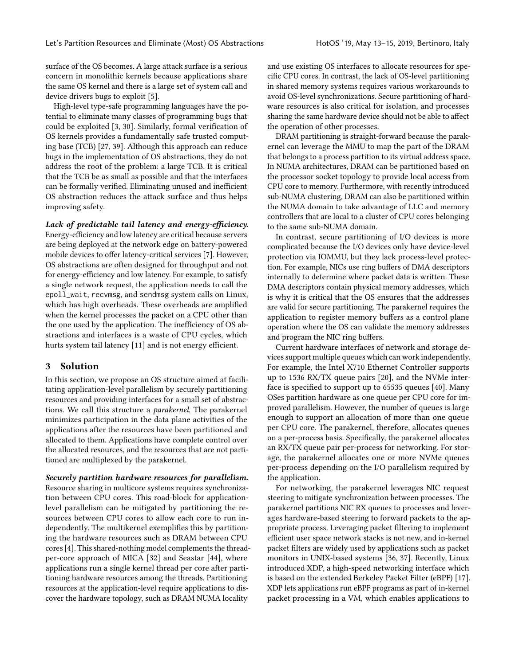surface of the OS becomes. A large attack surface is a serious concern in monolithic kernels because applications share the same OS kernel and there is a large set of system call and device drivers bugs to exploit [5].

High-level type-safe programming languages have the potential to eliminate many classes of programming bugs that could be exploited [3, 30]. Similarly, formal verification of OS kernels provides a fundamentally safe trusted computing base (TCB) [27, 39]. Although this approach can reduce bugs in the implementation of OS abstractions, they do not address the root of the problem: a large TCB. It is critical that the TCB be as small as possible and that the interfaces can be formally verified. Eliminating unused and inefficient OS abstraction reduces the attack surface and thus helps improving safety.

Lack of predictable tail latency and energy-efficiency. Energy-efficiency and low latency are critical because servers are being deployed at the network edge on battery-powered mobile devices to offer latency-critical services [7]. However, OS abstractions are often designed for throughput and not for energy-efficiency and low latency. For example, to satisfy a single network request, the application needs to call the epoll\_wait, recvmsg, and sendmsg system calls on Linux, which has high overheads. These overheads are amplified when the kernel processes the packet on a CPU other than the one used by the application. The inefficiency of OS abstractions and interfaces is a waste of CPU cycles, which hurts system tail latency [11] and is not energy efficient.

#### 3 Solution

In this section, we propose an OS structure aimed at facilitating application-level parallelism by securely partitioning resources and providing interfaces for a small set of abstractions. We call this structure a parakernel. The parakernel minimizes participation in the data plane activities of the applications after the resources have been partitioned and allocated to them. Applications have complete control over the allocated resources, and the resources that are not partitioned are multiplexed by the parakernel.

Securely partition hardware resources for parallelism. Resource sharing in multicore systems requires synchronization between CPU cores. This road-block for applicationlevel parallelism can be mitigated by partitioning the resources between CPU cores to allow each core to run independently. The multikernel exemplifies this by partitioning the hardware resources such as DRAM between CPU cores [4]. This shared-nothing model complements the threadper-core approach of MICA [32] and Seastar [44], where applications run a single kernel thread per core after partitioning hardware resources among the threads. Partitioning resources at the application-level require applications to discover the hardware topology, such as DRAM NUMA locality

and use existing OS interfaces to allocate resources for specific CPU cores. In contrast, the lack of OS-level partitioning in shared memory systems requires various workarounds to avoid OS-level synchronizations. Secure partitioning of hardware resources is also critical for isolation, and processes sharing the same hardware device should not be able to affect the operation of other processes.

DRAM partitioning is straight-forward because the parakernel can leverage the MMU to map the part of the DRAM that belongs to a process partition to its virtual address space. In NUMA architectures, DRAM can be partitioned based on the processor socket topology to provide local access from CPU core to memory. Furthermore, with recently introduced sub-NUMA clustering, DRAM can also be partitioned within the NUMA domain to take advantage of LLC and memory controllers that are local to a cluster of CPU cores belonging to the same sub-NUMA domain.

In contrast, secure partitioning of I/O devices is more complicated because the I/O devices only have device-level protection via IOMMU, but they lack process-level protection. For example, NICs use ring buffers of DMA descriptors internally to determine where packet data is written. These DMA descriptors contain physical memory addresses, which is why it is critical that the OS ensures that the addresses are valid for secure partitioning. The parakernel requires the application to register memory buffers as a control plane operation where the OS can validate the memory addresses and program the NIC ring buffers.

Current hardware interfaces of network and storage devices support multiple queues which can work independently. For example, the Intel X710 Ethernet Controller supports up to 1536 RX/TX queue pairs [20], and the NVMe interface is specified to support up to 65535 queues [40]. Many OSes partition hardware as one queue per CPU core for improved parallelism. However, the number of queues is large enough to support an allocation of more than one queue per CPU core. The parakernel, therefore, allocates queues on a per-process basis. Specifically, the parakernel allocates an RX/TX queue pair per-process for networking. For storage, the parakernel allocates one or more NVMe queues per-process depending on the I/O parallelism required by the application.

For networking, the parakernel leverages NIC request steering to mitigate synchronization between processes. The parakernel partitions NIC RX queues to processes and leverages hardware-based steering to forward packets to the appropriate process. Leveraging packet filtering to implement efficient user space network stacks is not new, and in-kernel packet filters are widely used by applications such as packet monitors in UNIX-based systems [36, 37]. Recently, Linux introduced XDP, a high-speed networking interface which is based on the extended Berkeley Packet Filter (eBPF) [17]. XDP lets applications run eBPF programs as part of in-kernel packet processing in a VM, which enables applications to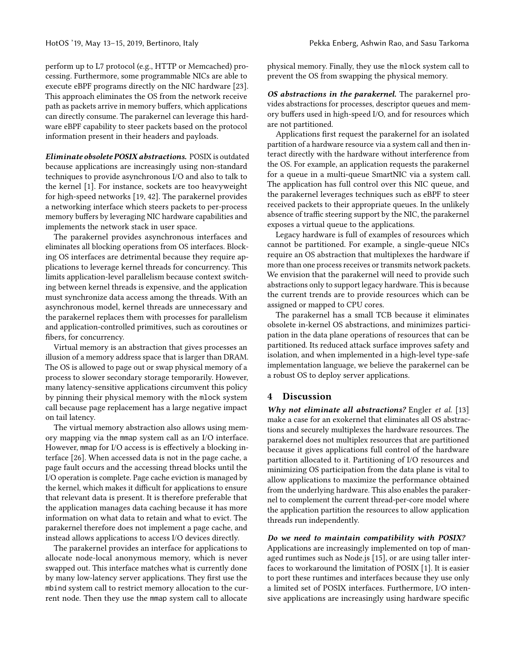perform up to L7 protocol (e.g., HTTP or Memcached) processing. Furthermore, some programmable NICs are able to execute eBPF programs directly on the NIC hardware [23]. This approach eliminates the OS from the network receive path as packets arrive in memory buffers, which applications can directly consume. The parakernel can leverage this hardware eBPF capability to steer packets based on the protocol information present in their headers and payloads.

Eliminate obsolete POSIX abstractions. POSIX is outdated because applications are increasingly using non-standard techniques to provide asynchronous I/O and also to talk to the kernel [1]. For instance, sockets are too heavyweight for high-speed networks [19, 42]. The parakernel provides a networking interface which steers packets to per-process memory buffers by leveraging NIC hardware capabilities and implements the network stack in user space.

The parakernel provides asynchronous interfaces and eliminates all blocking operations from OS interfaces. Blocking OS interfaces are detrimental because they require applications to leverage kernel threads for concurrency. This limits application-level parallelism because context switching between kernel threads is expensive, and the application must synchronize data access among the threads. With an asynchronous model, kernel threads are unnecessary and the parakernel replaces them with processes for parallelism and application-controlled primitives, such as coroutines or fibers, for concurrency.

Virtual memory is an abstraction that gives processes an illusion of a memory address space that is larger than DRAM. The OS is allowed to page out or swap physical memory of a process to slower secondary storage temporarily. However, many latency-sensitive applications circumvent this policy by pinning their physical memory with the mlock system call because page replacement has a large negative impact on tail latency.

The virtual memory abstraction also allows using memory mapping via the mmap system call as an I/O interface. However, mmap for I/O access is is effectively a blocking interface [26]. When accessed data is not in the page cache, a page fault occurs and the accessing thread blocks until the I/O operation is complete. Page cache eviction is managed by the kernel, which makes it difficult for applications to ensure that relevant data is present. It is therefore preferable that the application manages data caching because it has more information on what data to retain and what to evict. The parakernel therefore does not implement a page cache, and instead allows applications to access I/O devices directly.

The parakernel provides an interface for applications to allocate node-local anonymous memory, which is never swapped out. This interface matches what is currently done by many low-latency server applications. They first use the mbind system call to restrict memory allocation to the current node. Then they use the mmap system call to allocate

physical memory. Finally, they use the mlock system call to prevent the OS from swapping the physical memory.

OS abstractions in the parakernel. The parakernel provides abstractions for processes, descriptor queues and memory buffers used in high-speed I/O, and for resources which are not partitioned.

Applications first request the parakernel for an isolated partition of a hardware resource via a system call and then interact directly with the hardware without interference from the OS. For example, an application requests the parakernel for a queue in a multi-queue SmartNIC via a system call. The application has full control over this NIC queue, and the parakernel leverages techniques such as eBPF to steer received packets to their appropriate queues. In the unlikely absence of traffic steering support by the NIC, the parakernel exposes a virtual queue to the applications.

Legacy hardware is full of examples of resources which cannot be partitioned. For example, a single-queue NICs require an OS abstraction that multiplexes the hardware if more than one process receives or transmits network packets. We envision that the parakernel will need to provide such abstractions only to support legacy hardware. This is because the current trends are to provide resources which can be assigned or mapped to CPU cores.

The parakernel has a small TCB because it eliminates obsolete in-kernel OS abstractions, and minimizes participation in the data plane operations of resources that can be partitioned. Its reduced attack surface improves safety and isolation, and when implemented in a high-level type-safe implementation language, we believe the parakernel can be a robust OS to deploy server applications.

### 4 Discussion

Why not eliminate all abstractions? Engler et al. [13] make a case for an exokernel that eliminates all OS abstractions and securely multiplexes the hardware resources. The parakernel does not multiplex resources that are partitioned because it gives applications full control of the hardware partition allocated to it. Partitioning of I/O resources and minimizing OS participation from the data plane is vital to allow applications to maximize the performance obtained from the underlying hardware. This also enables the parakernel to complement the current thread-per-core model where the application partition the resources to allow application threads run independently.

Do we need to maintain compatibility with POSIX?

Applications are increasingly implemented on top of managed runtimes such as Node.js [15], or are using taller interfaces to workaround the limitation of POSIX [1]. It is easier to port these runtimes and interfaces because they use only a limited set of POSIX interfaces. Furthermore, I/O intensive applications are increasingly using hardware specific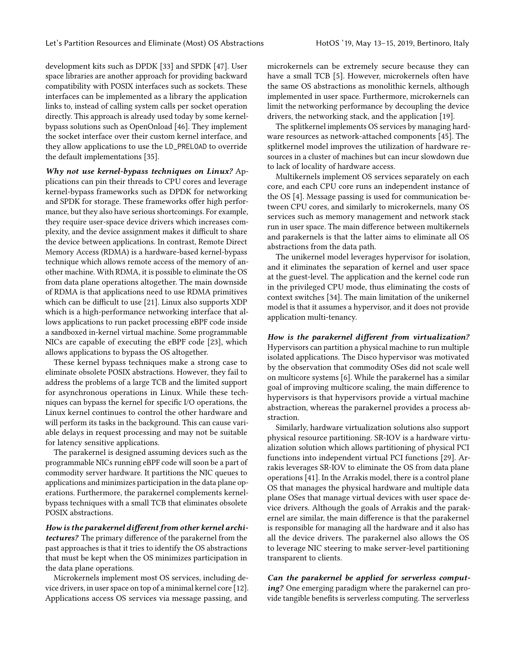development kits such as DPDK [33] and SPDK [47]. User space libraries are another approach for providing backward compatibility with POSIX interfaces such as sockets. These interfaces can be implemented as a library the application links to, instead of calling system calls per socket operation directly. This approach is already used today by some kernelbypass solutions such as OpenOnload [46]. They implement the socket interface over their custom kernel interface, and they allow applications to use the LD\_PRELOAD to override the default implementations [35].

Why not use kernel-bypass techniques on Linux? Applications can pin their threads to CPU cores and leverage kernel-bypass frameworks such as DPDK for networking and SPDK for storage. These frameworks offer high performance, but they also have serious shortcomings. For example, they require user-space device drivers which increases complexity, and the device assignment makes it difficult to share the device between applications. In contrast, Remote Direct Memory Access (RDMA) is a hardware-based kernel-bypass technique which allows remote access of the memory of another machine. With RDMA, it is possible to eliminate the OS from data plane operations altogether. The main downside of RDMA is that applications need to use RDMA primitives which can be difficult to use [21]. Linux also supports XDP which is a high-performance networking interface that allows applications to run packet processing eBPF code inside a sandboxed in-kernel virtual machine. Some programmable NICs are capable of executing the eBPF code [23], which allows applications to bypass the OS altogether.

These kernel bypass techniques make a strong case to eliminate obsolete POSIX abstractions. However, they fail to address the problems of a large TCB and the limited support for asynchronous operations in Linux. While these techniques can bypass the kernel for specific I/O operations, the Linux kernel continues to control the other hardware and will perform its tasks in the background. This can cause variable delays in request processing and may not be suitable for latency sensitive applications.

The parakernel is designed assuming devices such as the programmable NICs running eBPF code will soon be a part of commodity server hardware. It partitions the NIC queues to applications and minimizes participation in the data plane operations. Furthermore, the parakernel complements kernelbypass techniques with a small TCB that eliminates obsolete POSIX abstractions.

How is the parakernel different from other kernel architectures? The primary difference of the parakernel from the past approaches is that it tries to identify the OS abstractions that must be kept when the OS minimizes participation in the data plane operations.

Microkernels implement most OS services, including device drivers, in user space on top of a minimal kernel core [12]. Applications access OS services via message passing, and

microkernels can be extremely secure because they can have a small TCB [5]. However, microkernels often have the same OS abstractions as monolithic kernels, although implemented in user space. Furthermore, microkernels can limit the networking performance by decoupling the device drivers, the networking stack, and the application [19].

The splitkernel implements OS services by managing hardware resources as network-attached components [45]. The splitkernel model improves the utilization of hardware resources in a cluster of machines but can incur slowdown due to lack of locality of hardware access.

Multikernels implement OS services separately on each core, and each CPU core runs an independent instance of the OS [4]. Message passing is used for communication between CPU cores, and similarly to microkernels, many OS services such as memory management and network stack run in user space. The main difference between multikernels and parakernels is that the latter aims to eliminate all OS abstractions from the data path.

The unikernel model leverages hypervisor for isolation, and it eliminates the separation of kernel and user space at the guest-level. The application and the kernel code run in the privileged CPU mode, thus eliminating the costs of context switches [34]. The main limitation of the unikernel model is that it assumes a hypervisor, and it does not provide application multi-tenancy.

How is the parakernel different from virtualization? Hypervisors can partition a physical machine to run multiple isolated applications. The Disco hypervisor was motivated by the observation that commodity OSes did not scale well on multicore systems [6]. While the parakernel has a similar goal of improving multicore scaling, the main difference to hypervisors is that hypervisors provide a virtual machine abstraction, whereas the parakernel provides a process abstraction.

Similarly, hardware virtualization solutions also support physical resource partitioning. SR-IOV is a hardware virtualization solution which allows partitioning of physical PCI functions into independent virtual PCI functions [29]. Arrakis leverages SR-IOV to eliminate the OS from data plane operations [41]. In the Arrakis model, there is a control plane OS that manages the physical hardware and multiple data plane OSes that manage virtual devices with user space device drivers. Although the goals of Arrakis and the parakernel are similar, the main difference is that the parakernel is responsible for managing all the hardware and it also has all the device drivers. The parakernel also allows the OS to leverage NIC steering to make server-level partitioning transparent to clients.

Can the parakernel be applied for serverless computing? One emerging paradigm where the parakernel can provide tangible benefits is serverless computing. The serverless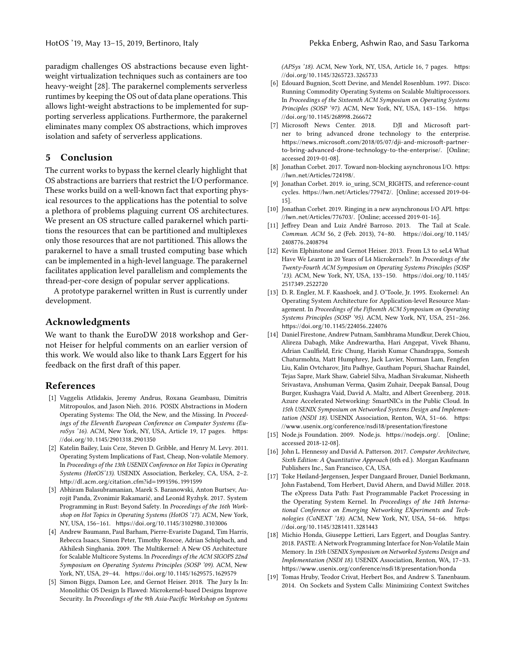allows light-weight abstractions to be implemented for supporting serverless applications. Furthermore, the parakernel eliminates many complex OS abstractions, which improves isolation and safety of serverless applications.

### 5 Conclusion

The current works to bypass the kernel clearly highlight that OS abstractions are barriers that restrict the I/O performance. These works build on a well-known fact that exporting physical resources to the applications has the potential to solve a plethora of problems plaguing current OS architectures. We present an OS structure called parakernel which partitions the resources that can be partitioned and multiplexes only those resources that are not partitioned. This allows the parakernel to have a small trusted computing base which can be implemented in a high-level language. The parakernel facilitates application level parallelism and complements the thread-per-core design of popular server applications.

A prototype parakernel written in Rust is currently under development.

#### Acknowledgments

We want to thank the EuroDW 2018 workshop and Gernot Heiser for helpful comments on an earlier version of this work. We would also like to thank Lars Eggert for his feedback on the first draft of this paper.

#### References

- [1] Vaggelis Atlidakis, Jeremy Andrus, Roxana Geambasu, Dimitris Mitropoulos, and Jason Nieh. 2016. POSIX Abstractions in Modern Operating Systems: The Old, the New, and the Missing. In Proceedings of the Eleventh European Conference on Computer Systems (EuroSys '16). ACM, New York, NY, USA, Article 19, 17 pages. [https:](https://doi.org/10.1145/2901318.2901350) //doi.org/10.[1145/2901318](https://doi.org/10.1145/2901318.2901350).<sup>2901350</sup>
- [2] Katelin Bailey, Luis Ceze, Steven D. Gribble, and Henry M. Levy. 2011. Operating System Implications of Fast, Cheap, Non-volatile Memory. In Proceedings of the 13th USENIX Conference on Hot Topics in Operating Systems (HotOS'13). USENIX Association, Berkeley, CA, USA, 2–2. http://dl.acm.[org/citation](http://dl.acm.org/citation.cfm?id=1991596.1991599).cfm?id=1991596.<sup>1991599</sup>
- [3] Abhiram Balasubramanian, Marek S. Baranowski, Anton Burtsev, Aurojit Panda, Zvonimir Rakamarić, and Leonid Ryzhyk. 2017. System Programming in Rust: Beyond Safety. In Proceedings of the 16th Workshop on Hot Topics in Operating Systems (HotOS '17). ACM, New York, NY, USA, 156–161. https://doi.org/10.[1145/3102980](https://doi.org/10.1145/3102980.3103006).<sup>3103006</sup>
- [4] Andrew Baumann, Paul Barham, Pierre-Evariste Dagand, Tim Harris, Rebecca Isaacs, Simon Peter, Timothy Roscoe, Adrian Schüpbach, and Akhilesh Singhania. 2009. The Multikernel: A New OS Architecture for Scalable Multicore Systems. In Proceedings of the ACM SIGOPS 22nd Symposium on Operating Systems Principles (SOSP '09). ACM, New York, NY, USA, 29–44. https://doi.org/10.[1145/1629575](https://doi.org/10.1145/1629575.1629579).<sup>1629579</sup>
- [5] Simon Biggs, Damon Lee, and Gernot Heiser. 2018. The Jury Is In: Monolithic OS Design Is Flawed: Microkernel-based Designs Improve Security. In Proceedings of the 9th Asia-Pacific Workshop on Systems

(APSys '18). ACM, New York, NY, USA, Article 16, 7 pages. [https:](https://doi.org/10.1145/3265723.3265733) //doi.org/10.[1145/3265723](https://doi.org/10.1145/3265723.3265733).<sup>3265733</sup>

- [6] Edouard Bugnion, Scott Devine, and Mendel Rosenblum. 1997. Disco: Running Commodity Operating Systems on Scalable Multiprocessors. In Proceedings of the Sixteenth ACM Symposium on Operating Systems Principles (SOSP '97). ACM, New York, NY, USA, 143-156. [https:](https://doi.org/10.1145/268998.266672) //doi.org/10.[1145/268998](https://doi.org/10.1145/268998.266672).<sup>266672</sup>
- [7] Microsoft News Center. 2018. DJI and Microsoft partner to bring advanced drone technology to the enterprise. https://news.microsoft.[com/2018/05/07/dji-and-microsoft-partner](https://news.microsoft.com/2018/05/07/dji-and-microsoft-partner-to-bring-advanced-drone-technology-to-the-enterprise/)[to-bring-advanced-drone-technology-to-the-enterprise/](https://news.microsoft.com/2018/05/07/dji-and-microsoft-partner-to-bring-advanced-drone-technology-to-the-enterprise/). [Online; accessed 2019-01-08].
- [8] Jonathan Corbet. 2017. Toward non-blocking asynchronous I/O. [https:](https://lwn.net/Articles/724198/) //lwn.[net/Articles/724198/](https://lwn.net/Articles/724198/).
- [9] Jonathan Corbet. 2019. io\_uring, SCM\_RIGHTS, and reference-count cycles. https://lwn.[net/Articles/779472/](https://lwn.net/Articles/779472/). [Online; accessed 2019-04- 15].
- [10] Jonathan Corbet. 2019. Ringing in a new asynchronous I/O API. [https:](https://lwn.net/Articles/776703/) //lwn.[net/Articles/776703/](https://lwn.net/Articles/776703/). [Online; accessed 2019-01-16].
- [11] Jeffrey Dean and Luiz André Barroso. 2013. The Tail at Scale. Commun. ACM 56, 2 (Feb. 2013), 74–80. [https://doi](https://doi.org/10.1145/2408776.2408794).org/10.1145/ [2408776](https://doi.org/10.1145/2408776.2408794).<sup>2408794</sup>
- [12] Kevin Elphinstone and Gernot Heiser. 2013. From L3 to seL4 What Have We Learnt in 20 Years of L4 Microkernels?. In Proceedings of the Twenty-Fourth ACM Symposium on Operating Systems Principles (SOSP '13). ACM, New York, NY, USA, 133–150. [https://doi](https://doi.org/10.1145/2517349.2522720).org/10.1145/
- [2517349](https://doi.org/10.1145/2517349.2522720).<sup>2522720</sup> [13] D. R. Engler, M. F. Kaashoek, and J. O'Toole, Jr. 1995. Exokernel: An Operating System Architecture for Application-level Resource Management. In Proceedings of the Fifteenth ACM Symposium on Operating Systems Principles (SOSP '95). ACM, New York, NY, USA, 251–266. https://doi.org/10.[1145/224056](https://doi.org/10.1145/224056.224076).<sup>224076</sup>
- [14] Daniel Firestone, Andrew Putnam, Sambhrama Mundkur, Derek Chiou, Alireza Dabagh, Mike Andrewartha, Hari Angepat, Vivek Bhanu, Adrian Caulfield, Eric Chung, Harish Kumar Chandrappa, Somesh Chaturmohta, Matt Humphrey, Jack Lavier, Norman Lam, Fengfen Liu, Kalin Ovtcharov, Jitu Padhye, Gautham Popuri, Shachar Raindel, Tejas Sapre, Mark Shaw, Gabriel Silva, Madhan Sivakumar, Nisheeth Srivastava, Anshuman Verma, Qasim Zuhair, Deepak Bansal, Doug Burger, Kushagra Vaid, David A. Maltz, and Albert Greenberg. 2018. Azure Accelerated Networking: SmartNICs in the Public Cloud. In 15th USENIX Symposium on Networked Systems Design and Implementation (NSDI 18). USENIX Association, Renton, WA, 51–66. [https:](https://www.usenix.org/conference/nsdi18/presentation/firestone) //www.usenix.[org/conference/nsdi18/presentation/firestone](https://www.usenix.org/conference/nsdi18/presentation/firestone)
- [15] Node.js Foundation. 2009. Node.js. [https://nodejs](https://nodejs.org/).org/. [Online; accessed 2018-12-08].
- [16] John L. Hennessy and David A. Patterson. 2017. Computer Architecture, Sixth Edition: A Quantitative Approach (6th ed.). Morgan Kaufmann Publishers Inc., San Francisco, CA, USA.
- [17] Toke Høiland-Jørgensen, Jesper Dangaard Brouer, Daniel Borkmann, John Fastabend, Tom Herbert, David Ahern, and David Miller. 2018. The eXpress Data Path: Fast Programmable Packet Processing in the Operating System Kernel. In Proceedings of the 14th International Conference on Emerging Networking EXperiments and Technologies (CoNEXT '18). ACM, New York, NY, USA, 54–66. [https:](https://doi.org/10.1145/3281411.3281443) //doi.org/10.[1145/3281411](https://doi.org/10.1145/3281411.3281443).<sup>3281443</sup>
- [18] Michio Honda, Giuseppe Lettieri, Lars Eggert, and Douglas Santry. 2018. PASTE: A Network Programming Interface for Non-Volatile Main Memory. In 15th USENIX Symposium on Networked Systems Design and Implementation (NSDI 18). USENIX Association, Renton, WA, 17–33. https://www.usenix.[org/conference/nsdi18/presentation/honda](https://www.usenix.org/conference/nsdi18/presentation/honda)
- [19] Tomas Hruby, Teodor Crivat, Herbert Bos, and Andrew S. Tanenbaum. 2014. On Sockets and System Calls: Minimizing Context Switches